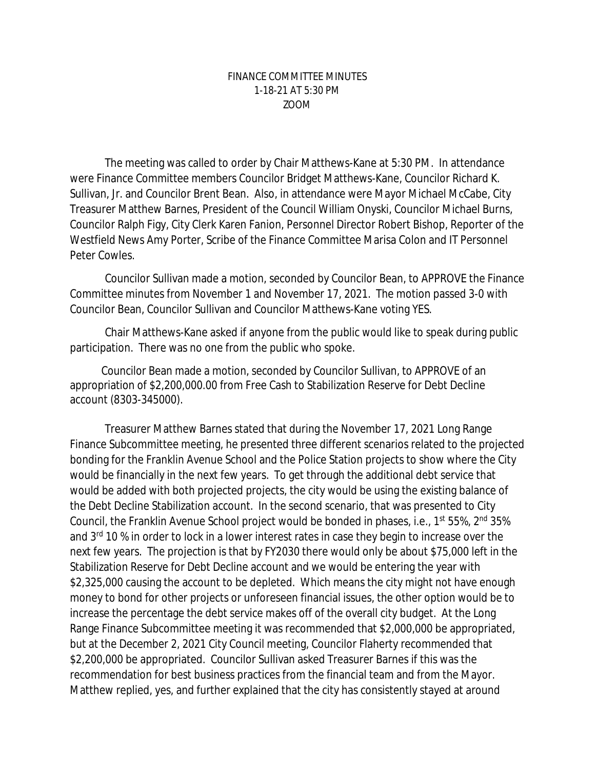## FINANCE COMMITTEE MINUTES 1-18-21 AT 5:30 PM ZOOM

The meeting was called to order by Chair Matthews-Kane at 5:30 PM. In attendance were Finance Committee members Councilor Bridget Matthews-Kane, Councilor Richard K. Sullivan, Jr. and Councilor Brent Bean. Also, in attendance were Mayor Michael McCabe, City Treasurer Matthew Barnes, President of the Council William Onyski, Councilor Michael Burns, Councilor Ralph Figy, City Clerk Karen Fanion, Personnel Director Robert Bishop, Reporter of the Westfield News Amy Porter, Scribe of the Finance Committee Marisa Colon and IT Personnel Peter Cowles.

Councilor Sullivan made a motion, seconded by Councilor Bean, to APPROVE the Finance Committee minutes from November 1 and November 17, 2021. The motion passed 3-0 with Councilor Bean, Councilor Sullivan and Councilor Matthews-Kane voting YES.

Chair Matthews-Kane asked if anyone from the public would like to speak during public participation. There was no one from the public who spoke.

Councilor Bean made a motion, seconded by Councilor Sullivan, to APPROVE of an appropriation of \$2,200,000.00 from Free Cash to Stabilization Reserve for Debt Decline account (8303-345000).

Treasurer Matthew Barnes stated that during the November 17, 2021 Long Range Finance Subcommittee meeting, he presented three different scenarios related to the projected bonding for the Franklin Avenue School and the Police Station projects to show where the City would be financially in the next few years. To get through the additional debt service that would be added with both projected projects, the city would be using the existing balance of the Debt Decline Stabilization account. In the second scenario, that was presented to City Council, the Franklin Avenue School project would be bonded in phases, i.e., 1<sup>st</sup> 55%, 2<sup>nd</sup> 35% and 3<sup>rd</sup> 10 % in order to lock in a lower interest rates in case they begin to increase over the next few years. The projection is that by FY2030 there would only be about \$75,000 left in the Stabilization Reserve for Debt Decline account and we would be entering the year with \$2,325,000 causing the account to be depleted. Which means the city might not have enough money to bond for other projects or unforeseen financial issues, the other option would be to increase the percentage the debt service makes off of the overall city budget. At the Long Range Finance Subcommittee meeting it was recommended that \$2,000,000 be appropriated, but at the December 2, 2021 City Council meeting, Councilor Flaherty recommended that \$2,200,000 be appropriated. Councilor Sullivan asked Treasurer Barnes if this was the recommendation for best business practices from the financial team and from the Mayor. Matthew replied, yes, and further explained that the city has consistently stayed at around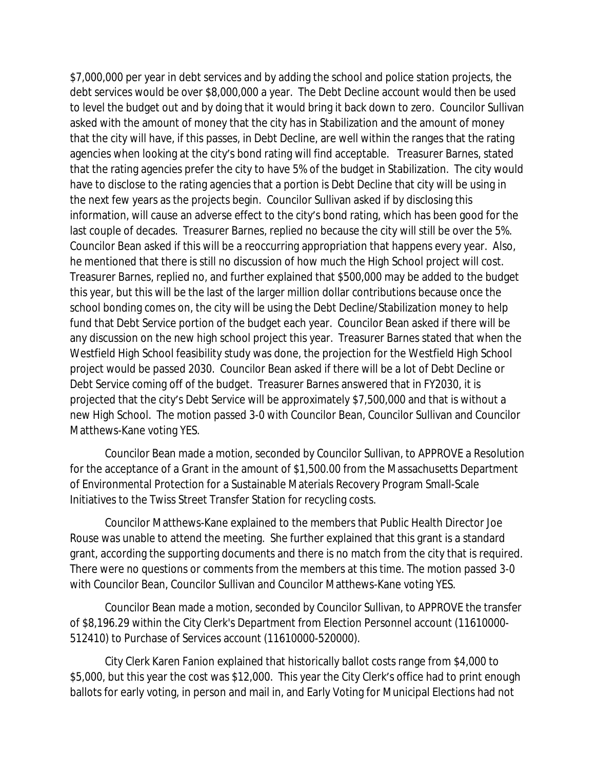\$7,000,000 per year in debt services and by adding the school and police station projects, the debt services would be over \$8,000,000 a year. The Debt Decline account would then be used to level the budget out and by doing that it would bring it back down to zero. Councilor Sullivan asked with the amount of money that the city has in Stabilization and the amount of money that the city will have, if this passes, in Debt Decline, are well within the ranges that the rating agencies when looking at the city's bond rating will find acceptable. Treasurer Barnes, stated that the rating agencies prefer the city to have 5% of the budget in Stabilization. The city would have to disclose to the rating agencies that a portion is Debt Decline that city will be using in the next few years as the projects begin. Councilor Sullivan asked if by disclosing this information, will cause an adverse effect to the city's bond rating, which has been good for the last couple of decades. Treasurer Barnes, replied no because the city will still be over the 5%. Councilor Bean asked if this will be a reoccurring appropriation that happens every year. Also, he mentioned that there is still no discussion of how much the High School project will cost. Treasurer Barnes, replied no, and further explained that \$500,000 may be added to the budget this year, but this will be the last of the larger million dollar contributions because once the school bonding comes on, the city will be using the Debt Decline/Stabilization money to help fund that Debt Service portion of the budget each year. Councilor Bean asked if there will be any discussion on the new high school project this year. Treasurer Barnes stated that when the Westfield High School feasibility study was done, the projection for the Westfield High School project would be passed 2030. Councilor Bean asked if there will be a lot of Debt Decline or Debt Service coming off of the budget. Treasurer Barnes answered that in FY2030, it is projected that the city's Debt Service will be approximately \$7,500,000 and that is without a new High School. The motion passed 3-0 with Councilor Bean, Councilor Sullivan and Councilor Matthews-Kane voting YES.

Councilor Bean made a motion, seconded by Councilor Sullivan, to APPROVE a Resolution for the acceptance of a Grant in the amount of \$1,500.00 from the Massachusetts Department of Environmental Protection for a Sustainable Materials Recovery Program Small-Scale Initiatives to the Twiss Street Transfer Station for recycling costs.

Councilor Matthews-Kane explained to the members that Public Health Director Joe Rouse was unable to attend the meeting. She further explained that this grant is a standard grant, according the supporting documents and there is no match from the city that is required. There were no questions or comments from the members at this time. The motion passed 3-0 with Councilor Bean, Councilor Sullivan and Councilor Matthews-Kane voting YES.

Councilor Bean made a motion, seconded by Councilor Sullivan, to APPROVE the transfer of \$8,196.29 within the City Clerk's Department from Election Personnel account (11610000- 512410) to Purchase of Services account (11610000-520000).

City Clerk Karen Fanion explained that historically ballot costs range from \$4,000 to \$5,000, but this year the cost was \$12,000. This year the City Clerk's office had to print enough ballots for early voting, in person and mail in, and Early Voting for Municipal Elections had not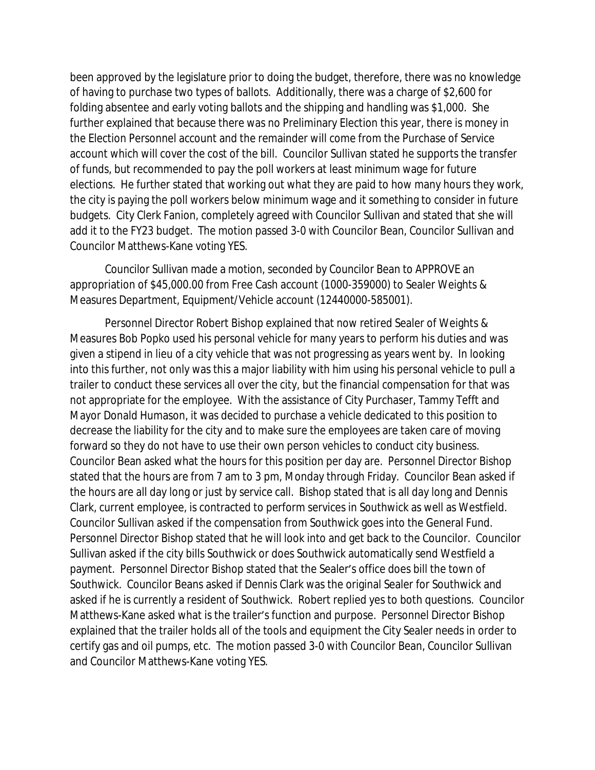been approved by the legislature prior to doing the budget, therefore, there was no knowledge of having to purchase two types of ballots. Additionally, there was a charge of \$2,600 for folding absentee and early voting ballots and the shipping and handling was \$1,000. She further explained that because there was no Preliminary Election this year, there is money in the Election Personnel account and the remainder will come from the Purchase of Service account which will cover the cost of the bill. Councilor Sullivan stated he supports the transfer of funds, but recommended to pay the poll workers at least minimum wage for future elections. He further stated that working out what they are paid to how many hours they work, the city is paying the poll workers below minimum wage and it something to consider in future budgets. City Clerk Fanion, completely agreed with Councilor Sullivan and stated that she will add it to the FY23 budget. The motion passed 3-0 with Councilor Bean, Councilor Sullivan and Councilor Matthews-Kane voting YES.

Councilor Sullivan made a motion, seconded by Councilor Bean to APPROVE an appropriation of \$45,000.00 from Free Cash account (1000-359000) to Sealer Weights & Measures Department, Equipment/Vehicle account (12440000-585001).

Personnel Director Robert Bishop explained that now retired Sealer of Weights & Measures Bob Popko used his personal vehicle for many years to perform his duties and was given a stipend in lieu of a city vehicle that was not progressing as years went by. In looking into this further, not only was this a major liability with him using his personal vehicle to pull a trailer to conduct these services all over the city, but the financial compensation for that was not appropriate for the employee. With the assistance of City Purchaser, Tammy Tefft and Mayor Donald Humason, it was decided to purchase a vehicle dedicated to this position to decrease the liability for the city and to make sure the employees are taken care of moving forward so they do not have to use their own person vehicles to conduct city business. Councilor Bean asked what the hours for this position per day are. Personnel Director Bishop stated that the hours are from 7 am to 3 pm, Monday through Friday. Councilor Bean asked if the hours are all day long or just by service call. Bishop stated that is all day long and Dennis Clark, current employee, is contracted to perform services in Southwick as well as Westfield. Councilor Sullivan asked if the compensation from Southwick goes into the General Fund. Personnel Director Bishop stated that he will look into and get back to the Councilor. Councilor Sullivan asked if the city bills Southwick or does Southwick automatically send Westfield a payment. Personnel Director Bishop stated that the Sealer's office does bill the town of Southwick. Councilor Beans asked if Dennis Clark was the original Sealer for Southwick and asked if he is currently a resident of Southwick. Robert replied yes to both questions. Councilor Matthews-Kane asked what is the trailer's function and purpose. Personnel Director Bishop explained that the trailer holds all of the tools and equipment the City Sealer needs in order to certify gas and oil pumps, etc. The motion passed 3-0 with Councilor Bean, Councilor Sullivan and Councilor Matthews-Kane voting YES.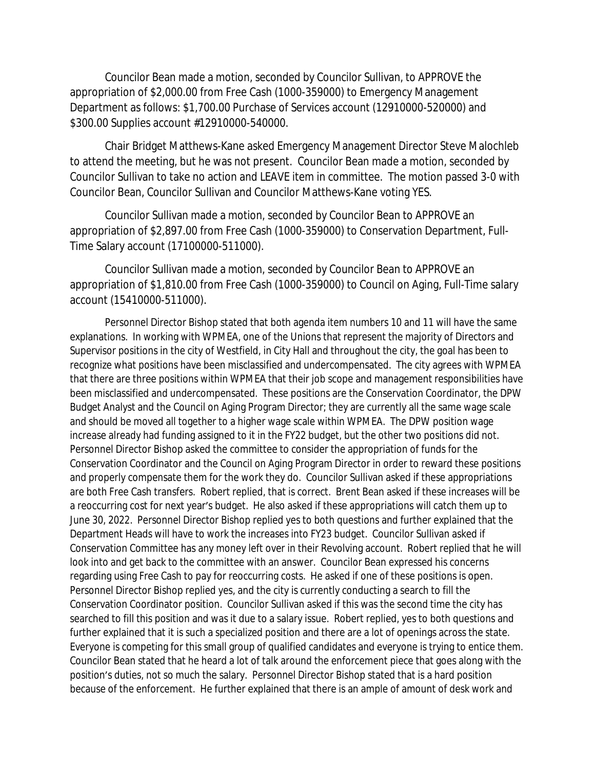Councilor Bean made a motion, seconded by Councilor Sullivan, to APPROVE the appropriation of \$2,000.00 from Free Cash (1000-359000) to Emergency Management Department as follows: \$1,700.00 Purchase of Services account (12910000-520000) and \$300.00 Supplies account #12910000-540000.

Chair Bridget Matthews-Kane asked Emergency Management Director Steve Malochleb to attend the meeting, but he was not present. Councilor Bean made a motion, seconded by Councilor Sullivan to take no action and LEAVE item in committee. The motion passed 3-0 with Councilor Bean, Councilor Sullivan and Councilor Matthews-Kane voting YES.

Councilor Sullivan made a motion, seconded by Councilor Bean to APPROVE an appropriation of \$2,897.00 from Free Cash (1000-359000) to Conservation Department, Full-Time Salary account (17100000-511000).

Councilor Sullivan made a motion, seconded by Councilor Bean to APPROVE an appropriation of \$1,810.00 from Free Cash (1000-359000) to Council on Aging, Full-Time salary account (15410000-511000).

Personnel Director Bishop stated that both agenda item numbers 10 and 11 will have the same explanations. In working with WPMEA, one of the Unions that represent the majority of Directors and Supervisor positions in the city of Westfield, in City Hall and throughout the city, the goal has been to recognize what positions have been misclassified and undercompensated. The city agrees with WPMEA that there are three positions within WPMEA that their job scope and management responsibilities have been misclassified and undercompensated. These positions are the Conservation Coordinator, the DPW Budget Analyst and the Council on Aging Program Director; they are currently all the same wage scale and should be moved all together to a higher wage scale within WPMEA. The DPW position wage increase already had funding assigned to it in the FY22 budget, but the other two positions did not. Personnel Director Bishop asked the committee to consider the appropriation of funds for the Conservation Coordinator and the Council on Aging Program Director in order to reward these positions and properly compensate them for the work they do. Councilor Sullivan asked if these appropriations are both Free Cash transfers. Robert replied, that is correct. Brent Bean asked if these increases will be a reoccurring cost for next year's budget. He also asked if these appropriations will catch them up to June 30, 2022. Personnel Director Bishop replied yes to both questions and further explained that the Department Heads will have to work the increases into FY23 budget. Councilor Sullivan asked if Conservation Committee has any money left over in their Revolving account. Robert replied that he will look into and get back to the committee with an answer. Councilor Bean expressed his concerns regarding using Free Cash to pay for reoccurring costs. He asked if one of these positions is open. Personnel Director Bishop replied yes, and the city is currently conducting a search to fill the Conservation Coordinator position. Councilor Sullivan asked if this was the second time the city has searched to fill this position and was it due to a salary issue. Robert replied, yes to both questions and further explained that it is such a specialized position and there are a lot of openings across the state. Everyone is competing for this small group of qualified candidates and everyone is trying to entice them. Councilor Bean stated that he heard a lot of talk around the enforcement piece that goes along with the position's duties, not so much the salary. Personnel Director Bishop stated that is a hard position because of the enforcement. He further explained that there is an ample of amount of desk work and